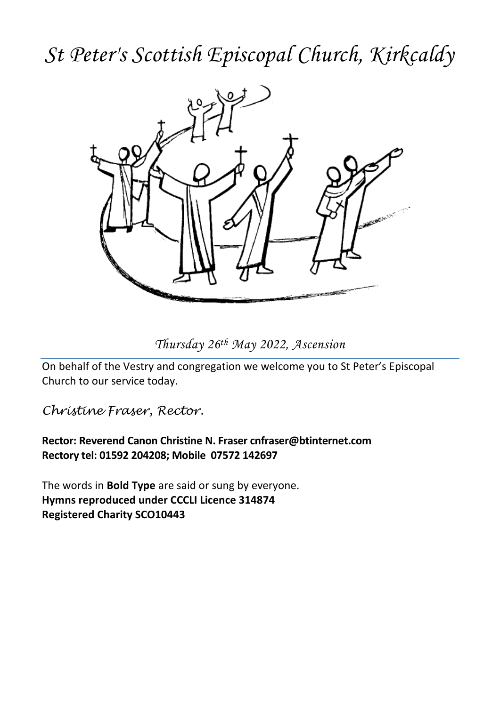## *St Peter's Scottish Episcopal Church, Kirkcaldy*



*Thursday 26th May 2022, Ascension*

On behalf of the Vestry and congregation we welcome you to St Peter's Episcopal Church to our service today.

*Christine Fraser, Rector.*

**Rector: Reverend Canon Christine N. Fraser cnfraser@btinternet.com Rectory tel: 01592 204208; Mobile 07572 142697**

The words in **Bold Type** are said or sung by everyone. **Hymns reproduced under CCCLI Licence 314874 Registered Charity SCO10443**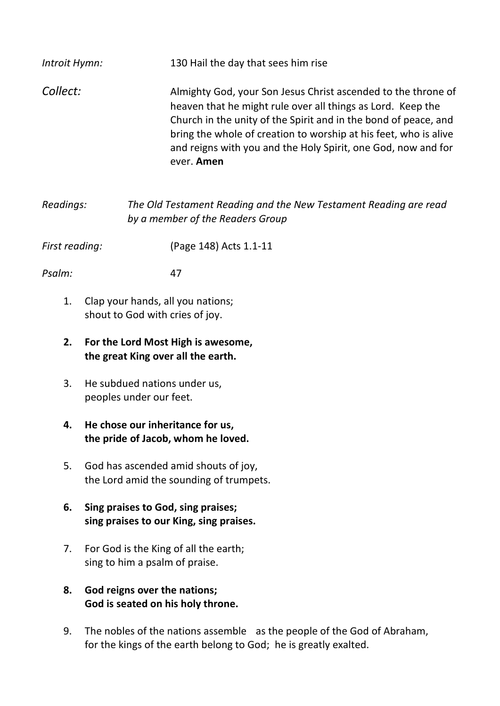| Introit Hymn:  |                                                                                 | 130 Hail the day that sees him rise                                                                                                                                                                                                                                                                                                                |  |  |  |
|----------------|---------------------------------------------------------------------------------|----------------------------------------------------------------------------------------------------------------------------------------------------------------------------------------------------------------------------------------------------------------------------------------------------------------------------------------------------|--|--|--|
| Collect:       |                                                                                 | Almighty God, your Son Jesus Christ ascended to the throne of<br>heaven that he might rule over all things as Lord. Keep the<br>Church in the unity of the Spirit and in the bond of peace, and<br>bring the whole of creation to worship at his feet, who is alive<br>and reigns with you and the Holy Spirit, one God, now and for<br>ever. Amen |  |  |  |
| Readings:      |                                                                                 | The Old Testament Reading and the New Testament Reading are read<br>by a member of the Readers Group                                                                                                                                                                                                                                               |  |  |  |
| First reading: |                                                                                 | (Page 148) Acts 1.1-11                                                                                                                                                                                                                                                                                                                             |  |  |  |
| Psalm:         | 47                                                                              |                                                                                                                                                                                                                                                                                                                                                    |  |  |  |
| 1.             | Clap your hands, all you nations;<br>shout to God with cries of joy.            |                                                                                                                                                                                                                                                                                                                                                    |  |  |  |
| 2.             | For the Lord Most High is awesome,<br>the great King over all the earth.        |                                                                                                                                                                                                                                                                                                                                                    |  |  |  |
| 3.             | He subdued nations under us,<br>peoples under our feet.                         |                                                                                                                                                                                                                                                                                                                                                    |  |  |  |
| 4.             | He chose our inheritance for us,<br>the pride of Jacob, whom he loved.          |                                                                                                                                                                                                                                                                                                                                                    |  |  |  |
| 5.             | God has ascended amid shouts of joy,<br>the Lord amid the sounding of trumpets. |                                                                                                                                                                                                                                                                                                                                                    |  |  |  |
| 6.             | Sing praises to God, sing praises;<br>sing praises to our King, sing praises.   |                                                                                                                                                                                                                                                                                                                                                    |  |  |  |
| 7.             | For God is the King of all the earth;<br>sing to him a psalm of praise.         |                                                                                                                                                                                                                                                                                                                                                    |  |  |  |
| 8.             | God reigns over the nations;<br>God is seated on his holy throne.               |                                                                                                                                                                                                                                                                                                                                                    |  |  |  |
| 9.             | The nobles of the nations assemble                                              | as the people of the God of Abraham,                                                                                                                                                                                                                                                                                                               |  |  |  |

for the kings of the earth belong to God; he is greatly exalted.